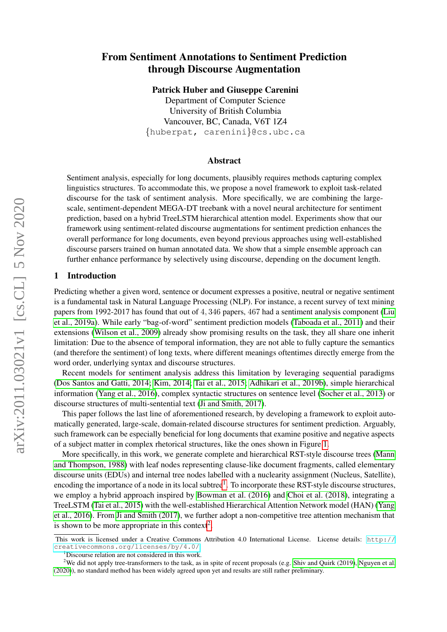# From Sentiment Annotations to Sentiment Prediction through Discourse Augmentation

Patrick Huber and Giuseppe Carenini

Department of Computer Science University of British Columbia Vancouver, BC, Canada, V6T 1Z4 {huberpat, carenini}@cs.ubc.ca

### Abstract

Sentiment analysis, especially for long documents, plausibly requires methods capturing complex linguistics structures. To accommodate this, we propose a novel framework to exploit task-related discourse for the task of sentiment analysis. More specifically, we are combining the largescale, sentiment-dependent MEGA-DT treebank with a novel neural architecture for sentiment prediction, based on a hybrid TreeLSTM hierarchical attention model. Experiments show that our framework using sentiment-related discourse augmentations for sentiment prediction enhances the overall performance for long documents, even beyond previous approaches using well-established discourse parsers trained on human annotated data. We show that a simple ensemble approach can further enhance performance by selectively using discourse, depending on the document length.

### 1 Introduction

Predicting whether a given word, sentence or document expresses a positive, neutral or negative sentiment is a fundamental task in Natural Language Processing (NLP). For instance, a recent survey of text mining papers from 1992-2017 has found that out of 4, 346 papers, 467 had a sentiment analysis component [\(Liu](#page-10-0) [et al., 2019a\)](#page-10-0). While early "bag-of-word" sentiment prediction models [\(Taboada et al., 2011\)](#page-11-0) and their extensions [\(Wilson et al., 2009\)](#page-11-1) already show promising results on the task, they all share one inherit limitation: Due to the absence of temporal information, they are not able to fully capture the semantics (and therefore the sentiment) of long texts, where different meanings oftentimes directly emerge from the word order, underlying syntax and discourse structures.

Recent models for sentiment analysis address this limitation by leveraging sequential paradigms [\(Dos Santos and Gatti, 2014;](#page-10-1) [Kim, 2014;](#page-10-2) [Tai et al., 2015;](#page-11-2) [Adhikari et al., 2019b\)](#page-9-0), simple hierarchical information [\(Yang et al., 2016\)](#page-11-3), complex syntactic structures on sentence level [\(Socher et al., 2013\)](#page-11-4) or discourse structures of multi-sentential text [\(Ji and Smith, 2017\)](#page-10-3).

This paper follows the last line of aforementioned research, by developing a framework to exploit automatically generated, large-scale, domain-related discourse structures for sentiment prediction. Arguably, such framework can be especially beneficial for long documents that examine positive and negative aspects of a subject matter in complex rhetorical structures, like the ones shown in Figure [1.](#page-1-0)

More specifically, in this work, we generate complete and hierarchical RST-style discourse trees [\(Mann](#page-11-5) [and Thompson, 1988\)](#page-11-5) with leaf nodes representing clause-like document fragments, called elementary discourse units (EDUs) and internal tree nodes labelled with a nuclearity assignment (Nucleus, Satellite), encoding the importance of a node in its local subtree<sup>[1](#page-0-0)</sup>. To incorporate these RST-style discourse structures, we employ a hybrid approach inspired by [Bowman et al. \(2016\)](#page-10-4) and [Choi et al. \(2018\)](#page-10-5), integrating a TreeLSTM [\(Tai et al., 2015\)](#page-11-2) with the well-established Hierarchical Attention Network model (HAN) [\(Yang](#page-11-3) [et al., 2016\)](#page-11-3). From [Ji and Smith \(2017\)](#page-10-3), we further adopt a non-competitive tree attention mechanism that is shown to be more appropriate in this context<sup>[2](#page-0-1)</sup>.

This work is licensed under a Creative Commons Attribution 4.0 International License. License details: [http://](http://creativecommons.org/licenses/by/4.0/) [creativecommons.org/licenses/by/4.0/](http://creativecommons.org/licenses/by/4.0/).

<span id="page-0-1"></span><span id="page-0-0"></span><sup>&</sup>lt;sup>1</sup>Discourse relation are not considered in this work.

<sup>&</sup>lt;sup>2</sup>We did not apply tree-transformers to the task, as in spite of recent proposals (e.g. [Shiv and Quirk \(2019\)](#page-11-6), [Nguyen et al.](#page-11-7) [\(2020\)](#page-11-7)), no standard method has been widely agreed upon yet and results are still rather preliminary.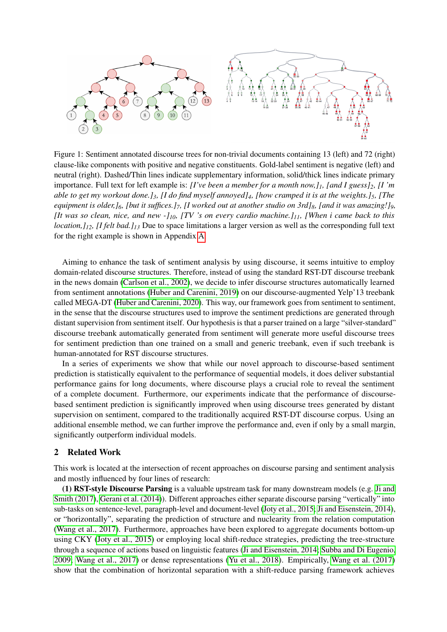<span id="page-1-0"></span>

Figure 1: Sentiment annotated discourse trees for non-trivial documents containing 13 (left) and 72 (right) clause-like components with positive and negative constituents. Gold-label sentiment is negative (left) and neutral (right). Dashed/Thin lines indicate supplementary information, solid/thick lines indicate primary importance. Full text for left example is: *[I've been a member for a month now,]1, [and I guess]2, [I 'm able to get my workout done.]3, [I do find myself annoyed]4, [how cramped it is at the weights.]5, [The equipment is older,]6, [but it suffices.]7, [I worked out at another studio on 3rd]8, [and it was amazing!]9, [It was so clean, nice, and new -]10, [TV 's on every cardio machine.]11, [When i came back to this location,]12, [I felt bad.]<sup>13</sup>* Due to space limitations a larger version as well as the corresponding full text for the right example is shown in Appendix [A.](#page-12-0)

Aiming to enhance the task of sentiment analysis by using discourse, it seems intuitive to employ domain-related discourse structures. Therefore, instead of using the standard RST-DT discourse treebank in the news domain [\(Carlson et al., 2002\)](#page-10-6), we decide to infer discourse structures automatically learned from sentiment annotations [\(Huber and Carenini, 2019\)](#page-10-7) on our discourse-augmented Yelp'13 treebank called MEGA-DT [\(Huber and Carenini, 2020\)](#page-10-8). This way, our framework goes from sentiment to sentiment, in the sense that the discourse structures used to improve the sentiment predictions are generated through distant supervision from sentiment itself. Our hypothesis is that a parser trained on a large "silver-standard" discourse treebank automatically generated from sentiment will generate more useful discourse trees for sentiment prediction than one trained on a small and generic treebank, even if such treebank is human-annotated for RST discourse structures.

In a series of experiments we show that while our novel approach to discourse-based sentiment prediction is statistically equivalent to the performance of sequential models, it does deliver substantial performance gains for long documents, where discourse plays a crucial role to reveal the sentiment of a complete document. Furthermore, our experiments indicate that the performance of discoursebased sentiment prediction is significantly improved when using discourse trees generated by distant supervision on sentiment, compared to the traditionally acquired RST-DT discourse corpus. Using an additional ensemble method, we can further improve the performance and, even if only by a small margin, significantly outperform individual models.

## 2 Related Work

This work is located at the intersection of recent approaches on discourse parsing and sentiment analysis and mostly influenced by four lines of research:

(1) RST-style Discourse Parsing is a valuable upstream task for many downstream models (e.g. [Ji and](#page-10-3) [Smith \(2017\)](#page-10-3), [Gerani et al. \(2014\)](#page-10-9)). Different approaches either separate discourse parsing "vertically" into sub-tasks on sentence-level, paragraph-level and document-level [\(Joty et al., 2015;](#page-10-10) [Ji and Eisenstein, 2014\)](#page-10-11), or "horizontally", separating the prediction of structure and nuclearity from the relation computation [\(Wang et al., 2017\)](#page-11-8). Furthermore, approaches have been explored to aggregate documents bottom-up using CKY [\(Joty et al., 2015\)](#page-10-10) or employing local shift-reduce strategies, predicting the tree-structure through a sequence of actions based on linguistic features [\(Ji and Eisenstein, 2014;](#page-10-11) [Subba and Di Eugenio,](#page-11-9) [2009;](#page-11-9) [Wang et al., 2017\)](#page-11-8) or dense representations [\(Yu et al., 2018\)](#page-11-10). Empirically, [Wang et al. \(2017\)](#page-11-8) show that the combination of horizontal separation with a shift-reduce parsing framework achieves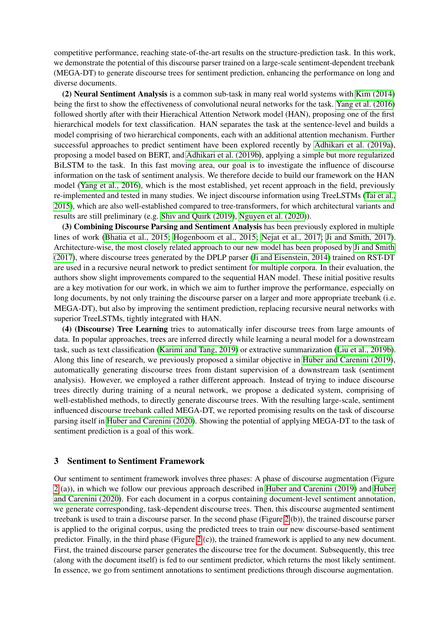competitive performance, reaching state-of-the-art results on the structure-prediction task. In this work, we demonstrate the potential of this discourse parser trained on a large-scale sentiment-dependent treebank (MEGA-DT) to generate discourse trees for sentiment prediction, enhancing the performance on long and diverse documents.

(2) Neural Sentiment Analysis is a common sub-task in many real world systems with [Kim \(2014\)](#page-10-2) being the first to show the effectiveness of convolutional neural networks for the task. [Yang et al. \(2016\)](#page-11-3) followed shortly after with their Hierachical Attention Network model (HAN), proposing one of the first hierarchical models for text classification. HAN separates the task at the sentence-level and builds a model comprising of two hierarchical components, each with an additional attention mechanism. Further successful approaches to predict sentiment have been explored recently by [Adhikari et al. \(2019a\)](#page-9-1), proposing a model based on BERT, and [Adhikari et al. \(2019b\)](#page-9-0), applying a simple but more regularized BiLSTM to the task. In this fast moving area, our goal is to investigate the influence of discourse information on the task of sentiment analysis. We therefore decide to build our framework on the HAN model [\(Yang et al., 2016\)](#page-11-3), which is the most established, yet recent approach in the field, previously re-implemented and tested in many studies. We inject discourse information using TreeLSTMs [\(Tai et al.,](#page-11-2) [2015\)](#page-11-2), which are also well-established compared to tree-transformers, for which architectural variants and results are still preliminary (e.g. [Shiv and Quirk \(2019\)](#page-11-6), [Nguyen et al. \(2020\)](#page-11-7)).

(3) Combining Discourse Parsing and Sentiment Analysis has been previously explored in multiple lines of work [\(Bhatia et al., 2015;](#page-9-2) [Hogenboom et al., 2015;](#page-10-12) [Nejat et al., 2017;](#page-11-11) [Ji and Smith, 2017\)](#page-10-3). Architecture-wise, the most closely related approach to our new model has been proposed by [Ji and Smith](#page-10-3) [\(2017\)](#page-10-3), where discourse trees generated by the DPLP parser [\(Ji and Eisenstein, 2014\)](#page-10-11) trained on RST-DT are used in a recursive neural network to predict sentiment for multiple corpora. In their evaluation, the authors show slight improvements compared to the sequential HAN model. These initial positive results are a key motivation for our work, in which we aim to further improve the performance, especially on long documents, by not only training the discourse parser on a larger and more appropriate treebank (i.e. MEGA-DT), but also by improving the sentiment prediction, replacing recursive neural networks with superior TreeLSTMs, tightly integrated with HAN.

(4) (Discourse) Tree Learning tries to automatically infer discourse trees from large amounts of data. In popular approaches, trees are inferred directly while learning a neural model for a downstream task, such as text classification [\(Karimi and Tang, 2019\)](#page-10-13) or extractive summarization [\(Liu et al., 2019b\)](#page-10-14). Along this line of research, we previously proposed a similar objective in [Huber and Carenini \(2019\)](#page-10-7), automatically generating discourse trees from distant supervision of a downstream task (sentiment analysis). However, we employed a rather different approach. Instead of trying to induce discourse trees directly during training of a neural network, we propose a dedicated system, comprising of well-established methods, to directly generate discourse trees. With the resulting large-scale, sentiment influenced discourse treebank called MEGA-DT, we reported promising results on the task of discourse parsing itself in [Huber and Carenini \(2020\)](#page-10-8). Showing the potential of applying MEGA-DT to the task of sentiment prediction is a goal of this work.

### 3 Sentiment to Sentiment Framework

Our sentiment to sentiment framework involves three phases: A phase of discourse augmentation (Figure [2](#page-3-0) (a)), in which we follow our previous approach described in [Huber and Carenini \(2019\)](#page-10-7) and [Huber](#page-10-8) [and Carenini \(2020\)](#page-10-8). For each document in a corpus containing document-level sentiment annotation, we generate corresponding, task-dependent discourse trees. Then, this discourse augmented sentiment treebank is used to train a discourse parser. In the second phase (Figure [2](#page-3-0) (b)), the trained discourse parser is applied to the original corpus, using the predicted trees to train our new discourse-based sentiment predictor. Finally, in the third phase (Figure [2](#page-3-0) (c)), the trained framework is applied to any new document. First, the trained discourse parser generates the discourse tree for the document. Subsequently, this tree (along with the document itself) is fed to our sentiment predictor, which returns the most likely sentiment. In essence, we go from sentiment annotations to sentiment predictions through discourse augmentation.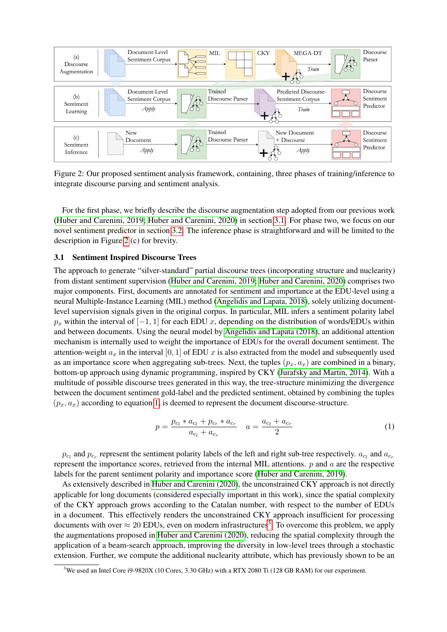<span id="page-3-0"></span>

Figure 2: Our proposed sentiment analysis framework, containing, three phases of training/inference to integrate discourse parsing and sentiment analysis.

For the first phase, we briefly describe the discourse augmentation step adopted from our previous work [\(Huber and Carenini, 2019;](#page-10-7) [Huber and Carenini, 2020\)](#page-10-8) in section [3.1.](#page-3-1) For phase two, we focus on our novel sentiment predictor in section [3.2.](#page-4-0) The inference phase is straightforward and will be limited to the description in Figure [2](#page-3-0) (c) for brevity.

### <span id="page-3-1"></span>3.1 Sentiment Inspired Discourse Trees

The approach to generate "silver-standard" partial discourse trees (incorporating structure and nuclearity) from distant sentiment supervision [\(Huber and Carenini, 2019;](#page-10-7) [Huber and Carenini, 2020\)](#page-10-8) comprises two major components. First, documents are annotated for sentiment and importance at the EDU-level using a neural Multiple-Instance Learning (MIL) method [\(Angelidis and Lapata, 2018\)](#page-9-3), solely utilizing documentlevel supervision signals given in the original corpus. In particular, MIL infers a sentiment polarity label  $p_x$  within the interval of  $[-1, 1]$  for each EDU x, depending on the distribution of words/EDUs within and between documents. Using the neural model by [Angelidis and Lapata \(2018\)](#page-9-3), an additional attention mechanism is internally used to weight the importance of EDUs for the overall document sentiment. The attention-weight  $a_x$  in the interval [0, 1] of EDU x is also extracted from the model and subsequently used as an importance score when aggregating sub-trees. Next, the tuples  $(p_x, a_x)$  are combined in a binary, bottom-up approach using dynamic programming, inspired by CKY [\(Jurafsky and Martin, 2014\)](#page-10-15). With a multitude of possible discourse trees generated in this way, the tree-structure minimizing the divergence between the document sentiment gold-label and the predicted sentiment, obtained by combining the tuples  $(p_x, a_x)$  according to equation [1,](#page-3-2) is deemed to represent the document discourse-structure.

<span id="page-3-2"></span>
$$
p = \frac{p_{c_l} * a_{c_l} + p_{c_r} * a_{c_r}}{a_{c_l} + a_{c_r}} \quad a = \frac{a_{c_l} + a_{c_r}}{2} \tag{1}
$$

 $p_{c_l}$  and  $p_{c_r}$  represent the sentiment polarity labels of the left and right sub-tree respectively.  $a_{c_l}$  and  $a_{c_r}$ represent the importance scores, retrieved from the internal MIL attentions.  $p$  and  $q$  are the respective labels for the parent sentiment polarity and importance score [\(Huber and Carenini, 2019\)](#page-10-7).

As extensively described in [Huber and Carenini \(2020\)](#page-10-8), the unconstrained CKY approach is not directly applicable for long documents (considered especially important in this work), since the spatial complexity of the CKY approach grows according to the Catalan number, with respect to the number of EDUs in a document. This effectively renders the unconstrained CKY approach insufficient for processing documents with over  $\approx 20$  EDUs, even on modern infrastructures<sup>[3](#page-3-3)</sup>. To overcome this problem, we apply the augmentations proposed in [Huber and Carenini \(2020\)](#page-10-8), reducing the spatial complexity through the application of a beam-search approach, improving the diversity in low-level trees through a stochastic extension. Further, we compute the additional nuclearity attribute, which has previously shown to be an

<span id="page-3-3"></span><sup>&</sup>lt;sup>3</sup>We used an Intel Core i9-9820X (10 Cores, 3.30 GHz) with a RTX 2080 Ti (128 GB RAM) for our experiment.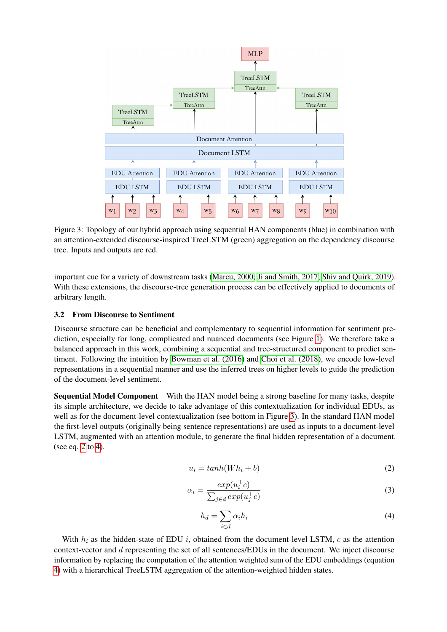<span id="page-4-1"></span>

Figure 3: Topology of our hybrid approach using sequential HAN components (blue) in combination with an attention-extended discourse-inspired TreeLSTM (green) aggregation on the dependency discourse tree. Inputs and outputs are red.

important cue for a variety of downstream tasks [\(Marcu, 2000;](#page-11-12) [Ji and Smith, 2017;](#page-10-3) [Shiv and Quirk, 2019\)](#page-11-6). With these extensions, the discourse-tree generation process can be effectively applied to documents of arbitrary length.

## <span id="page-4-0"></span>3.2 From Discourse to Sentiment

Discourse structure can be beneficial and complementary to sequential information for sentiment prediction, especially for long, complicated and nuanced documents (see Figure [1\)](#page-1-0). We therefore take a balanced approach in this work, combining a sequential and tree-structured component to predict sentiment. Following the intuition by [Bowman et al. \(2016\)](#page-10-4) and [Choi et al. \(2018\)](#page-10-5), we encode low-level representations in a sequential manner and use the inferred trees on higher levels to guide the prediction of the document-level sentiment.

Sequential Model Component With the HAN model being a strong baseline for many tasks, despite its simple architecture, we decide to take advantage of this contextualization for individual EDUs, as well as for the document-level contextualization (see bottom in Figure [3\)](#page-4-1). In the standard HAN model the first-level outputs (originally being sentence representations) are used as inputs to a document-level LSTM, augmented with an attention module, to generate the final hidden representation of a document. (see eq. [2](#page-4-2) to [4\)](#page-4-3).

<span id="page-4-2"></span>
$$
u_i = \tanh(Wh_i + b) \tag{2}
$$

$$
\alpha_i = \frac{\exp(u_i^\top c)}{\sum_{j \in d} \exp(u_j^\top c)}\tag{3}
$$

<span id="page-4-3"></span>
$$
h_d = \sum_{i \in d} \alpha_i h_i \tag{4}
$$

With  $h_i$  as the hidden-state of EDU i, obtained from the document-level LSTM, c as the attention context-vector and d representing the set of all sentences/EDUs in the document. We inject discourse information by replacing the computation of the attention weighted sum of the EDU embeddings (equation [4\)](#page-4-3) with a hierarchical TreeLSTM aggregation of the attention-weighted hidden states.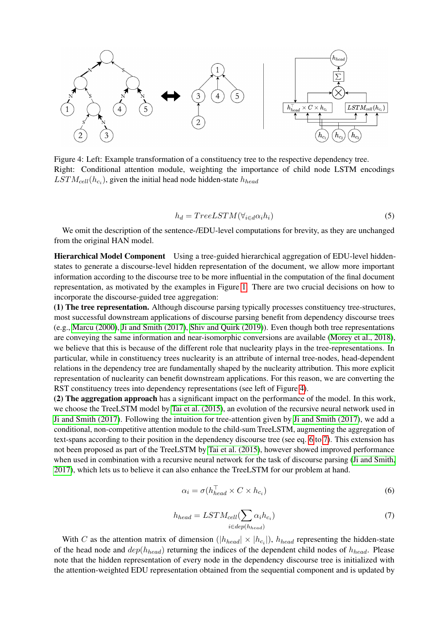<span id="page-5-0"></span>

Figure 4: Left: Example transformation of a constituency tree to the respective dependency tree. Right: Conditional attention module, weighting the importance of child node LSTM encodings  $LSTM_{cell}(h_{c_i})$ , given the initial head node hidden-state  $h_{head}$ 

$$
h_d = TreeLSTM(\forall_{i \in d} \alpha_i h_i)
$$
\n<sup>(5)</sup>

We omit the description of the sentence-/EDU-level computations for brevity, as they are unchanged from the original HAN model.

Hierarchical Model Component Using a tree-guided hierarchical aggregation of EDU-level hiddenstates to generate a discourse-level hidden representation of the document, we allow more important information according to the discourse tree to be more influential in the computation of the final document representation, as motivated by the examples in Figure [1.](#page-1-0) There are two crucial decisions on how to incorporate the discourse-guided tree aggregation:

(1) The tree representation. Although discourse parsing typically processes constituency tree-structures, most successful downstream applications of discourse parsing benefit from dependency discourse trees (e.g., [Marcu \(2000\)](#page-11-12), [Ji and Smith \(2017\)](#page-10-3), [Shiv and Quirk \(2019\)](#page-11-6)). Even though both tree representations are conveying the same information and near-isomorphic conversions are available [\(Morey et al., 2018\)](#page-11-13), we believe that this is because of the different role that nuclearity plays in the tree-representations. In particular, while in constituency trees nuclearity is an attribute of internal tree-nodes, head-dependent relations in the dependency tree are fundamentally shaped by the nuclearity attribution. This more explicit representation of nuclearity can benefit downstream applications. For this reason, we are converting the RST constituency trees into dependency representations (see left of Figure [4\)](#page-5-0).

(2) The aggregation approach has a significant impact on the performance of the model. In this work, we choose the TreeLSTM model by [Tai et al. \(2015\)](#page-11-2), an evolution of the recursive neural network used in [Ji and Smith \(2017\)](#page-10-3). Following the intuition for tree-attention given by [Ji and Smith \(2017\)](#page-10-3), we add a conditional, non-competitive attention module to the child-sum TreeLSTM, augmenting the aggregation of text-spans according to their position in the dependency discourse tree (see eq. [6](#page-5-1) to [7\)](#page-5-2). This extension has not been proposed as part of the TreeLSTM by [Tai et al. \(2015\)](#page-11-2), however showed improved performance when used in combination with a recursive neural network for the task of discourse parsing [\(Ji and Smith,](#page-10-3) [2017\)](#page-10-3), which lets us to believe it can also enhance the TreeLSTM for our problem at hand.

<span id="page-5-1"></span>
$$
\alpha_i = \sigma(h_{head}^\top \times C \times h_{c_i})
$$
\n<sup>(6)</sup>

<span id="page-5-2"></span>
$$
h_{head} = LSTM_{cell}(\sum_{i \in dep(h_{head})} \alpha_i h_{c_i})
$$
\n(7)

With C as the attention matrix of dimension ( $|h_{head}| \times |h_{c_i}|$ ),  $h_{head}$  representing the hidden-state of the head node and  $dep(h_{head})$  returning the indices of the dependent child nodes of  $h_{head}$ . Please note that the hidden representation of every node in the dependency discourse tree is initialized with the attention-weighted EDU representation obtained from the sequential component and is updated by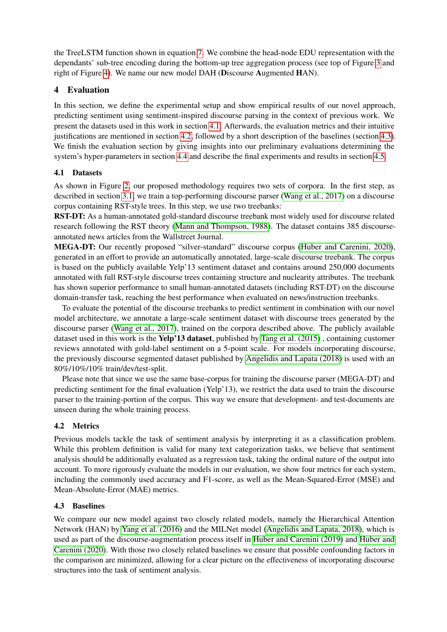the TreeLSTM function shown in equation [7.](#page-5-2) We combine the head-node EDU representation with the dependants' sub-tree encoding during the bottom-up tree aggregation process (see top of Figure [3](#page-4-1) and right of Figure [4\)](#page-5-0). We name our new model DAH (Discourse Augmented HAN).

## 4 Evaluation

In this section, we define the experimental setup and show empirical results of our novel approach, predicting sentiment using sentiment-inspired discourse parsing in the context of previous work. We present the datasets used in this work in section [4.1.](#page-6-0) Afterwards, the evaluation metrics and their intuitive justifications are mentioned in section [4.2,](#page-6-1) followed by a short description of the baselines (section [4.3\)](#page-6-2). We finish the evaluation section by giving insights into our preliminary evaluations determining the system's hyper-parameters in section [4.4](#page-7-0) and describe the final experiments and results in section [4.5.](#page-7-1)

## <span id="page-6-0"></span>4.1 Datasets

As shown in Figure [2,](#page-3-0) our proposed methodology requires two sets of corpora. In the first step, as described in section [3.1,](#page-3-1) we train a top-performing discourse parser [\(Wang et al., 2017\)](#page-11-8) on a discourse corpus containing RST-style trees. In this step, we use two treebanks:

RST-DT: As a human-annotated gold-standard discourse treebank most widely used for discourse related research following the RST theory [\(Mann and Thompson, 1988\)](#page-11-5). The dataset contains 385 discourseannotated news articles from the Wallstreet Journal.

MEGA-DT: Our recently proposed "silver-standard" discourse corpus [\(Huber and Carenini, 2020\)](#page-10-8), generated in an effort to provide an automatically annotated, large-scale discourse treebank. The corpus is based on the publicly available Yelp'13 sentiment dataset and contains around 250,000 documents annotated with full RST-style discourse trees containing structure and nuclearity attributes. The treebank has shown superior performance to small human-annotated datasets (including RST-DT) on the discourse domain-transfer task, reaching the best performance when evaluated on news/instruction treebanks.

To evaluate the potential of the discourse treebanks to predict sentiment in combination with our novel model architecture, we annotate a large-scale sentiment dataset with discourse trees generated by the discourse parser [\(Wang et al., 2017\)](#page-11-8), trained on the corpora described above. The publicly available dataset used in this work is the Yelp'13 dataset, published by [Tang et al. \(2015\)](#page-11-14) , containing customer reviews annotated with gold-label sentiment on a 5-point scale. For models incorporating discourse, the previously discourse segmented dataset published by [Angelidis and Lapata \(2018\)](#page-9-3) is used with an 80%/10%/10% train/dev/test-split.

Please note that since we use the same base-corpus for training the discourse parser (MEGA-DT) and predicting sentiment for the final evaluation (Yelp'13), we restrict the data used to train the discourse parser to the training-portion of the corpus. This way we ensure that development- and test-documents are unseen during the whole training process.

## <span id="page-6-1"></span>4.2 Metrics

Previous models tackle the task of sentiment analysis by interpreting it as a classification problem. While this problem definition is valid for many text categorization tasks, we believe that sentiment analysis should be additionally evaluated as a regression task, taking the ordinal nature of the output into account. To more rigorously evaluate the models in our evaluation, we show four metrics for each system, including the commonly used accuracy and F1-score, as well as the Mean-Squared-Error (MSE) and Mean-Absolute-Error (MAE) metrics.

## <span id="page-6-2"></span>4.3 Baselines

We compare our new model against two closely related models, namely the Hierarchical Attention Network (HAN) by [Yang et al. \(2016\)](#page-11-3) and the MILNet model [\(Angelidis and Lapata, 2018\)](#page-9-3), which is used as part of the discourse-augmentation process itself in [Huber and Carenini \(2019\)](#page-10-7) and [Huber and](#page-10-8) [Carenini \(2020\)](#page-10-8). With those two closely related baselines we ensure that possible confounding factors in the comparison are minimized, allowing for a clear picture on the effectiveness of incorporating discourse structures into the task of sentiment analysis.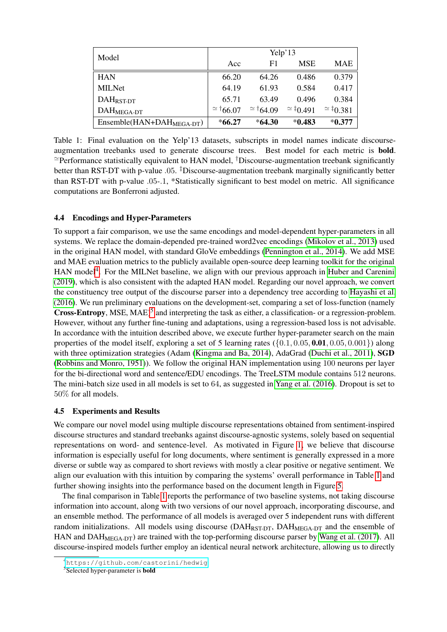<span id="page-7-4"></span>

| Model                                 | Yelp'13          |                  |                  |                  |
|---------------------------------------|------------------|------------------|------------------|------------------|
|                                       | Acc              | F1               | <b>MSE</b>       | <b>MAE</b>       |
| <b>HAN</b>                            | 66.20            | 64.26            | 0.486            | 0.379            |
| <b>MILNet</b>                         | 64.19            | 61.93            | 0.584            | 0.417            |
| DAH <sub>RST-DT</sub>                 | 65.71            | 63.49            | 0.496            | 0.384            |
| $DAH_{MEGA-DT}$                       | $\approx$ †66.07 | $\approx$ †64.09 | $\approx$ ‡0.491 | $\approx$ ‡0.381 |
| Ensemble(HAN+DAH <sub>MEGA-DT</sub> ) | $*66.27$         | $*64.30$         | $*0.483$         | $*0.377$         |

Table 1: Final evaluation on the Yelp'13 datasets, subscripts in model names indicate discourseaugmentation treebanks used to generate discourse trees. Best model for each metric is bold.  $\approx$ Performance statistically equivalent to HAN model, <sup>†</sup>Discourse-augmentation treebank significantly better than RST-DT with p-value .05. <sup>‡</sup>Discourse-augmentation treebank marginally significantly better than RST-DT with p-value .05-.1, \*Statistically significant to best model on metric. All significance computations are Bonferroni adjusted.

## <span id="page-7-0"></span>4.4 Encodings and Hyper-Parameters

To support a fair comparison, we use the same encodings and model-dependent hyper-parameters in all systems. We replace the domain-depended pre-trained word2vec encodings [\(Mikolov et al., 2013\)](#page-11-15) used in the original HAN model, with standard GloVe embeddings [\(Pennington et al., 2014\)](#page-11-16). We add MSE and MAE evaluation metrics to the publicly available open-source deep learning toolkit for the original HAN model<sup>[4](#page-7-2)</sup>. For the MILNet baseline, we align with our previous approach in [Huber and Carenini](#page-10-7) [\(2019\)](#page-10-7), which is also consistent with the adapted HAN model. Regarding our novel approach, we convert the constituency tree output of the discourse parser into a dependency tree according to [Hayashi et al.](#page-10-16) [\(2016\)](#page-10-16). We run preliminary evaluations on the development-set, comparing a set of loss-function (namely Cross-Entropy, MSE, MAE)<sup>[5](#page-7-3)</sup> and interpreting the task as either, a classification- or a regression-problem. However, without any further fine-tuning and adaptations, using a regression-based loss is not advisable. In accordance with the intuition described above, we execute further hyper-parameter search on the main properties of the model itself, exploring a set of 5 learning rates  $({0.1, 0.05, 0.01, 0.05, 0.001})$  along with three optimization strategies (Adam [\(Kingma and Ba, 2014\)](#page-10-17), AdaGrad [\(Duchi et al., 2011\)](#page-10-18), **SGD** [\(Robbins and Monro, 1951\)](#page-11-17)). We follow the original HAN implementation using 100 neurons per layer for the bi-directional word and sentence/EDU encodings. The TreeLSTM module contains 512 neurons. The mini-batch size used in all models is set to 64, as suggested in [Yang et al. \(2016\)](#page-11-3). Dropout is set to 50% for all models.

## <span id="page-7-1"></span>4.5 Experiments and Results

We compare our novel model using multiple discourse representations obtained from sentiment-inspired discourse structures and standard treebanks against discourse-agnostic systems, solely based on sequential representations on word- and sentence-level. As motivated in Figure [1,](#page-1-0) we believe that discourse information is especially useful for long documents, where sentiment is generally expressed in a more diverse or subtle way as compared to short reviews with mostly a clear positive or negative sentiment. We align our evaluation with this intuition by comparing the systems' overall performance in Table [1](#page-7-4) and further showing insights into the performance based on the document length in Figure [5.](#page-8-0)

The final comparison in Table [1](#page-7-4) reports the performance of two baseline systems, not taking discourse information into account, along with two versions of our novel approach, incorporating discourse, and an ensemble method. The performance of all models is averaged over 5 independent runs with different random initializations. All models using discourse ( $DAH_{RST-DT}$ ,  $DAH_{MEGA-DT}$  and the ensemble of HAN and DAH<sub>MEGA-DT</sub>) are trained with the top-performing discourse parser by [Wang et al. \(2017\)](#page-11-8). All discourse-inspired models further employ an identical neural network architecture, allowing us to directly

<span id="page-7-2"></span><sup>4</sup>[https://github.com/castorini/hedwig]( https://github.com/castorini/hedwig)

<span id="page-7-3"></span><sup>&</sup>lt;sup>5</sup>Selected hyper-parameter is **bold**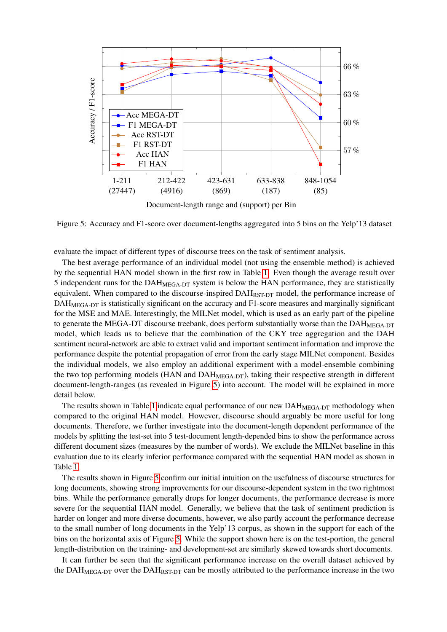<span id="page-8-0"></span>

Figure 5: Accuracy and F1-score over document-lengths aggregated into 5 bins on the Yelp'13 dataset

evaluate the impact of different types of discourse trees on the task of sentiment analysis.

The best average performance of an individual model (not using the ensemble method) is achieved by the sequential HAN model shown in the first row in Table [1.](#page-7-4) Even though the average result over 5 independent runs for the DAH<sub>MEGA-DT</sub> system is below the HAN performance, they are statistically equivalent. When compared to the discourse-inspired  $DAH_{RST-DT}$  model, the performance increase of DAH<sub>MEGA-DT</sub> is statistically significant on the accuracy and F1-score measures and marginally significant for the MSE and MAE. Interestingly, the MILNet model, which is used as an early part of the pipeline to generate the MEGA-DT discourse treebank, does perform substantially worse than the  $DAH_{MEGA-DT}$ model, which leads us to believe that the combination of the CKY tree aggregation and the DAH sentiment neural-network are able to extract valid and important sentiment information and improve the performance despite the potential propagation of error from the early stage MILNet component. Besides the individual models, we also employ an additional experiment with a model-ensemble combining the two top performing models (HAN and  $DAH_{MEGA-DT}$ ), taking their respective strength in different document-length-ranges (as revealed in Figure [5\)](#page-8-0) into account. The model will be explained in more detail below.

The results shown in Table [1](#page-7-4) indicate equal performance of our new DAH<sub>MEGA-DT</sub> methodology when compared to the original HAN model. However, discourse should arguably be more useful for long documents. Therefore, we further investigate into the document-length dependent performance of the models by splitting the test-set into 5 test-document length-depended bins to show the performance across different document sizes (measures by the number of words). We exclude the MILNet baseline in this evaluation due to its clearly inferior performance compared with the sequential HAN model as shown in Table [1.](#page-7-4)

The results shown in Figure [5](#page-8-0) confirm our initial intuition on the usefulness of discourse structures for long documents, showing strong improvements for our discourse-dependent system in the two rightmost bins. While the performance generally drops for longer documents, the performance decrease is more severe for the sequential HAN model. Generally, we believe that the task of sentiment prediction is harder on longer and more diverse documents, however, we also partly account the performance decrease to the small number of long documents in the Yelp'13 corpus, as shown in the support for each of the bins on the horizontal axis of Figure [5.](#page-8-0) While the support shown here is on the test-portion, the general length-distribution on the training- and development-set are similarly skewed towards short documents.

It can further be seen that the significant performance increase on the overall dataset achieved by the DAH $_{MEGA-DT}$  over the DAH $_{RST-DT}$  can be mostly attributed to the performance increase in the two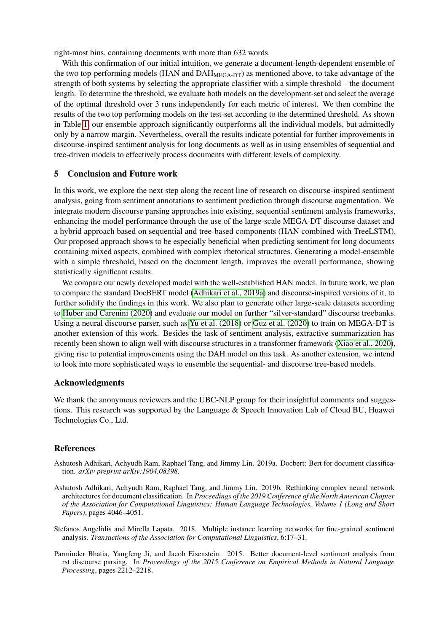right-most bins, containing documents with more than 632 words.

With this confirmation of our initial intuition, we generate a document-length-dependent ensemble of the two top-performing models (HAN and  $DAH_{MEGA-DT}$ ) as mentioned above, to take advantage of the strength of both systems by selecting the appropriate classifier with a simple threshold – the document length. To determine the threshold, we evaluate both models on the development-set and select the average of the optimal threshold over 3 runs independently for each metric of interest. We then combine the results of the two top performing models on the test-set according to the determined threshold. As shown in Table [1,](#page-7-4) our ensemble approach significantly outperforms all the individual models, but admittedly only by a narrow margin. Nevertheless, overall the results indicate potential for further improvements in discourse-inspired sentiment analysis for long documents as well as in using ensembles of sequential and tree-driven models to effectively process documents with different levels of complexity.

### 5 Conclusion and Future work

In this work, we explore the next step along the recent line of research on discourse-inspired sentiment analysis, going from sentiment annotations to sentiment prediction through discourse augmentation. We integrate modern discourse parsing approaches into existing, sequential sentiment analysis frameworks, enhancing the model performance through the use of the large-scale MEGA-DT discourse dataset and a hybrid approach based on sequential and tree-based components (HAN combined with TreeLSTM). Our proposed approach shows to be especially beneficial when predicting sentiment for long documents containing mixed aspects, combined with complex rhetorical structures. Generating a model-ensemble with a simple threshold, based on the document length, improves the overall performance, showing statistically significant results.

We compare our newly developed model with the well-established HAN model. In future work, we plan to compare the standard DocBERT model [\(Adhikari et al., 2019a\)](#page-9-1) and discourse-inspired versions of it, to further solidify the findings in this work. We also plan to generate other large-scale datasets according to [Huber and Carenini \(2020\)](#page-10-8) and evaluate our model on further "silver-standard" discourse treebanks. Using a neural discourse parser, such as [Yu et al. \(2018\)](#page-11-10) or [Guz et al. \(2020\)](#page-10-19) to train on MEGA-DT is another extension of this work. Besides the task of sentiment analysis, extractive summarization has recently been shown to align well with discourse structures in a transformer framework [\(Xiao et al., 2020\)](#page-11-18), giving rise to potential improvements using the DAH model on this task. As another extension, we intend to look into more sophisticated ways to ensemble the sequential- and discourse tree-based models.

### Acknowledgments

We thank the anonymous reviewers and the UBC-NLP group for their insightful comments and suggestions. This research was supported by the Language & Speech Innovation Lab of Cloud BU, Huawei Technologies Co., Ltd.

### References

- <span id="page-9-1"></span>Ashutosh Adhikari, Achyudh Ram, Raphael Tang, and Jimmy Lin. 2019a. Docbert: Bert for document classification. *arXiv preprint arXiv:1904.08398*.
- <span id="page-9-0"></span>Ashutosh Adhikari, Achyudh Ram, Raphael Tang, and Jimmy Lin. 2019b. Rethinking complex neural network architectures for document classification. In *Proceedings of the 2019 Conference of the North American Chapter of the Association for Computational Linguistics: Human Language Technologies, Volume 1 (Long and Short Papers)*, pages 4046–4051.
- <span id="page-9-3"></span>Stefanos Angelidis and Mirella Lapata. 2018. Multiple instance learning networks for fine-grained sentiment analysis. *Transactions of the Association for Computational Linguistics*, 6:17–31.
- <span id="page-9-2"></span>Parminder Bhatia, Yangfeng Ji, and Jacob Eisenstein. 2015. Better document-level sentiment analysis from rst discourse parsing. In *Proceedings of the 2015 Conference on Empirical Methods in Natural Language Processing*, pages 2212–2218.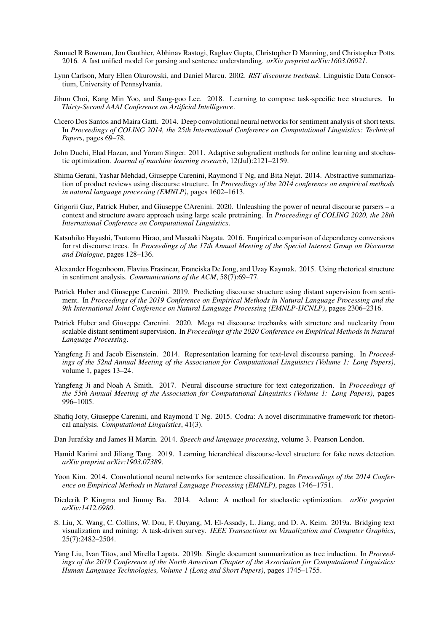- <span id="page-10-4"></span>Samuel R Bowman, Jon Gauthier, Abhinav Rastogi, Raghav Gupta, Christopher D Manning, and Christopher Potts. 2016. A fast unified model for parsing and sentence understanding. *arXiv preprint arXiv:1603.06021*.
- <span id="page-10-6"></span>Lynn Carlson, Mary Ellen Okurowski, and Daniel Marcu. 2002. *RST discourse treebank*. Linguistic Data Consortium, University of Pennsylvania.
- <span id="page-10-5"></span>Jihun Choi, Kang Min Yoo, and Sang-goo Lee. 2018. Learning to compose task-specific tree structures. In *Thirty-Second AAAI Conference on Artificial Intelligence*.
- <span id="page-10-1"></span>Cicero Dos Santos and Maira Gatti. 2014. Deep convolutional neural networks for sentiment analysis of short texts. In *Proceedings of COLING 2014, the 25th International Conference on Computational Linguistics: Technical Papers*, pages 69–78.
- <span id="page-10-18"></span>John Duchi, Elad Hazan, and Yoram Singer. 2011. Adaptive subgradient methods for online learning and stochastic optimization. *Journal of machine learning research*, 12(Jul):2121–2159.
- <span id="page-10-9"></span>Shima Gerani, Yashar Mehdad, Giuseppe Carenini, Raymond T Ng, and Bita Nejat. 2014. Abstractive summarization of product reviews using discourse structure. In *Proceedings of the 2014 conference on empirical methods in natural language processing (EMNLP)*, pages 1602–1613.
- <span id="page-10-19"></span>Grigorii Guz, Patrick Huber, and Giuseppe CArenini. 2020. Unleashing the power of neural discourse parsers – a context and structure aware approach using large scale pretraining. In *Proceedings of COLING 2020, the 28th International Conference on Computational Linguistics*.
- <span id="page-10-16"></span>Katsuhiko Hayashi, Tsutomu Hirao, and Masaaki Nagata. 2016. Empirical comparison of dependency conversions for rst discourse trees. In *Proceedings of the 17th Annual Meeting of the Special Interest Group on Discourse and Dialogue*, pages 128–136.
- <span id="page-10-12"></span>Alexander Hogenboom, Flavius Frasincar, Franciska De Jong, and Uzay Kaymak. 2015. Using rhetorical structure in sentiment analysis. *Communications of the ACM*, 58(7):69–77.
- <span id="page-10-7"></span>Patrick Huber and Giuseppe Carenini. 2019. Predicting discourse structure using distant supervision from sentiment. In *Proceedings of the 2019 Conference on Empirical Methods in Natural Language Processing and the 9th International Joint Conference on Natural Language Processing (EMNLP-IJCNLP)*, pages 2306–2316.
- <span id="page-10-8"></span>Patrick Huber and Giuseppe Carenini. 2020. Mega rst discourse treebanks with structure and nuclearity from scalable distant sentiment supervision. In *Proceedings of the 2020 Conference on Empirical Methods in Natural Language Processing*.
- <span id="page-10-11"></span>Yangfeng Ji and Jacob Eisenstein. 2014. Representation learning for text-level discourse parsing. In *Proceedings of the 52nd Annual Meeting of the Association for Computational Linguistics (Volume 1: Long Papers)*, volume 1, pages 13–24.
- <span id="page-10-3"></span>Yangfeng Ji and Noah A Smith. 2017. Neural discourse structure for text categorization. In *Proceedings of the 55th Annual Meeting of the Association for Computational Linguistics (Volume 1: Long Papers)*, pages 996–1005.
- <span id="page-10-10"></span>Shafiq Joty, Giuseppe Carenini, and Raymond T Ng. 2015. Codra: A novel discriminative framework for rhetorical analysis. *Computational Linguistics*, 41(3).
- <span id="page-10-15"></span>Dan Jurafsky and James H Martin. 2014. *Speech and language processing*, volume 3. Pearson London.
- <span id="page-10-13"></span>Hamid Karimi and Jiliang Tang. 2019. Learning hierarchical discourse-level structure for fake news detection. *arXiv preprint arXiv:1903.07389*.
- <span id="page-10-2"></span>Yoon Kim. 2014. Convolutional neural networks for sentence classification. In *Proceedings of the 2014 Conference on Empirical Methods in Natural Language Processing (EMNLP)*, pages 1746–1751.
- <span id="page-10-17"></span>Diederik P Kingma and Jimmy Ba. 2014. Adam: A method for stochastic optimization. *arXiv preprint arXiv:1412.6980*.
- <span id="page-10-0"></span>S. Liu, X. Wang, C. Collins, W. Dou, F. Ouyang, M. El-Assady, L. Jiang, and D. A. Keim. 2019a. Bridging text visualization and mining: A task-driven survey. *IEEE Transactions on Visualization and Computer Graphics*, 25(7):2482–2504.
- <span id="page-10-14"></span>Yang Liu, Ivan Titov, and Mirella Lapata. 2019b. Single document summarization as tree induction. In *Proceedings of the 2019 Conference of the North American Chapter of the Association for Computational Linguistics: Human Language Technologies, Volume 1 (Long and Short Papers)*, pages 1745–1755.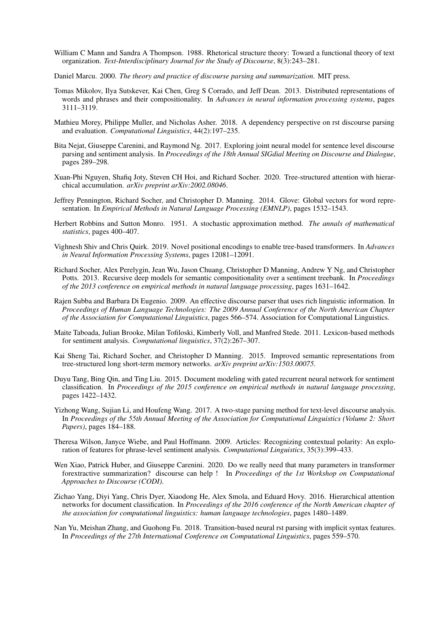- <span id="page-11-5"></span>William C Mann and Sandra A Thompson. 1988. Rhetorical structure theory: Toward a functional theory of text organization. *Text-Interdisciplinary Journal for the Study of Discourse*, 8(3):243–281.
- <span id="page-11-12"></span>Daniel Marcu. 2000. *The theory and practice of discourse parsing and summarization*. MIT press.
- <span id="page-11-15"></span>Tomas Mikolov, Ilya Sutskever, Kai Chen, Greg S Corrado, and Jeff Dean. 2013. Distributed representations of words and phrases and their compositionality. In *Advances in neural information processing systems*, pages 3111–3119.
- <span id="page-11-13"></span>Mathieu Morey, Philippe Muller, and Nicholas Asher. 2018. A dependency perspective on rst discourse parsing and evaluation. *Computational Linguistics*, 44(2):197–235.
- <span id="page-11-11"></span>Bita Nejat, Giuseppe Carenini, and Raymond Ng. 2017. Exploring joint neural model for sentence level discourse parsing and sentiment analysis. In *Proceedings of the 18th Annual SIGdial Meeting on Discourse and Dialogue*, pages 289–298.
- <span id="page-11-7"></span>Xuan-Phi Nguyen, Shafiq Joty, Steven CH Hoi, and Richard Socher. 2020. Tree-structured attention with hierarchical accumulation. *arXiv preprint arXiv:2002.08046*.
- <span id="page-11-16"></span>Jeffrey Pennington, Richard Socher, and Christopher D. Manning. 2014. Glove: Global vectors for word representation. In *Empirical Methods in Natural Language Processing (EMNLP)*, pages 1532–1543.
- <span id="page-11-17"></span>Herbert Robbins and Sutton Monro. 1951. A stochastic approximation method. *The annals of mathematical statistics*, pages 400–407.
- <span id="page-11-6"></span>Vighnesh Shiv and Chris Quirk. 2019. Novel positional encodings to enable tree-based transformers. In *Advances in Neural Information Processing Systems*, pages 12081–12091.
- <span id="page-11-4"></span>Richard Socher, Alex Perelygin, Jean Wu, Jason Chuang, Christopher D Manning, Andrew Y Ng, and Christopher Potts. 2013. Recursive deep models for semantic compositionality over a sentiment treebank. In *Proceedings of the 2013 conference on empirical methods in natural language processing*, pages 1631–1642.
- <span id="page-11-9"></span>Rajen Subba and Barbara Di Eugenio. 2009. An effective discourse parser that uses rich linguistic information. In *Proceedings of Human Language Technologies: The 2009 Annual Conference of the North American Chapter of the Association for Computational Linguistics*, pages 566–574. Association for Computational Linguistics.
- <span id="page-11-0"></span>Maite Taboada, Julian Brooke, Milan Tofiloski, Kimberly Voll, and Manfred Stede. 2011. Lexicon-based methods for sentiment analysis. *Computational linguistics*, 37(2):267–307.
- <span id="page-11-2"></span>Kai Sheng Tai, Richard Socher, and Christopher D Manning. 2015. Improved semantic representations from tree-structured long short-term memory networks. *arXiv preprint arXiv:1503.00075*.
- <span id="page-11-14"></span>Duyu Tang, Bing Qin, and Ting Liu. 2015. Document modeling with gated recurrent neural network for sentiment classification. In *Proceedings of the 2015 conference on empirical methods in natural language processing*, pages 1422–1432.
- <span id="page-11-8"></span>Yizhong Wang, Sujian Li, and Houfeng Wang. 2017. A two-stage parsing method for text-level discourse analysis. In *Proceedings of the 55th Annual Meeting of the Association for Computational Linguistics (Volume 2: Short Papers)*, pages 184–188.
- <span id="page-11-1"></span>Theresa Wilson, Janyce Wiebe, and Paul Hoffmann. 2009. Articles: Recognizing contextual polarity: An exploration of features for phrase-level sentiment analysis. *Computational Linguistics*, 35(3):399–433.
- <span id="page-11-18"></span>Wen Xiao, Patrick Huber, and Giuseppe Carenini. 2020. Do we really need that many parameters in transformer forextractive summarization? discourse can help ! In *Proceedings of the 1st Workshop on Computational Approaches to Discourse (CODI)*.
- <span id="page-11-3"></span>Zichao Yang, Diyi Yang, Chris Dyer, Xiaodong He, Alex Smola, and Eduard Hovy. 2016. Hierarchical attention networks for document classification. In *Proceedings of the 2016 conference of the North American chapter of the association for computational linguistics: human language technologies*, pages 1480–1489.
- <span id="page-11-10"></span>Nan Yu, Meishan Zhang, and Guohong Fu. 2018. Transition-based neural rst parsing with implicit syntax features. In *Proceedings of the 27th International Conference on Computational Linguistics*, pages 559–570.